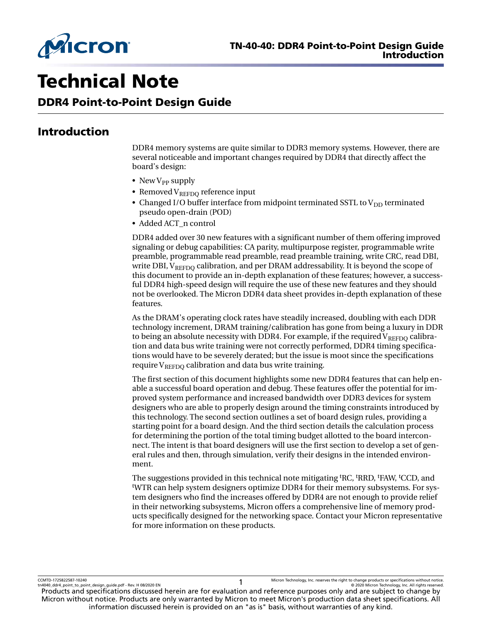

# Technical Note

DDR4 Point-to-Point Design Guide

# Introduction

DDR4 memory systems are quite similar to DDR3 memory systems. However, there are several noticeable and important changes required by DDR4 that directly affect the board's design:

- New  $V_{PP}$  supply
- Removed  $V_{REFDO}$  reference input
- Changed I/O buffer interface from midpoint terminated SSTL to  $V_{DD}$  terminated pseudo open-drain (POD)
- Added ACT\_n control

DDR4 added over 30 new features with a significant number of them offering improved signaling or debug capabilities: CA parity, multipurpose register, programmable write preamble, programmable read preamble, read preamble training, write CRC, read DBI, write DBI,  $V_{REFDO}$  calibration, and per DRAM addressability. It is beyond the scope of this document to provide an in-depth explanation of these features; however, a successful DDR4 high-speed design will require the use of these new features and they should not be overlooked. The Micron DDR4 data sheet provides in-depth explanation of these features.

As the DRAM's operating clock rates have steadily increased, doubling with each DDR technology increment, DRAM training/calibration has gone from being a luxury in DDR to being an absolute necessity with DDR4. For example, if the required  $V_{REFDO}$  calibration and data bus write training were not correctly performed, DDR4 timing specifications would have to be severely derated; but the issue is moot since the specifications require  $V_{REFDO}$  calibration and data bus write training.

The first section of this document highlights some new DDR4 features that can help enable a successful board operation and debug. These features offer the potential for improved system performance and increased bandwidth over DDR3 devices for system designers who are able to properly design around the timing constraints introduced by this technology. The second section outlines a set of board design rules, providing a starting point for a board design. And the third section details the calculation process for determining the portion of the total timing budget allotted to the board interconnect. The intent is that board designers will use the first section to develop a set of general rules and then, through simulation, verify their designs in the intended environment.

The suggestions provided in this technical note mitigating <sup>t</sup>RC, <sup>t</sup>RRD, <sup>t</sup>FAW, <sup>t</sup>CCD, and <sup>t</sup>WTR can help system designers optimize DDR4 for their memory subsystems. For system designers who find the increases offered by DDR4 are not enough to provide relief in their networking subsystems, Micron offers a comprehensive line of memory products specifically designed for the networking space. Contact your Micron representative for more information on these products.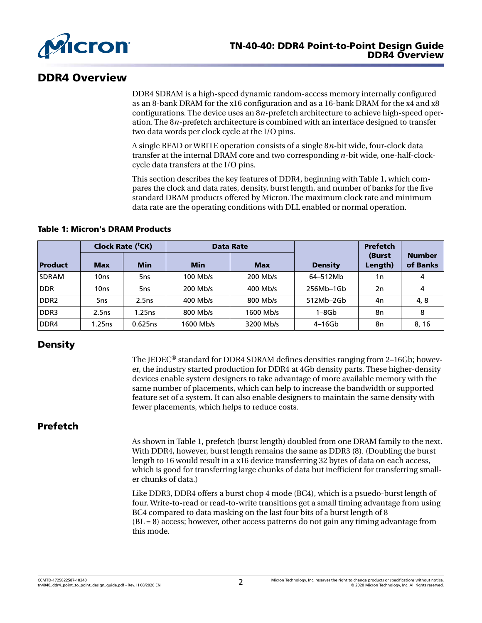

# DDR4 Overview

DDR4 SDRAM is a high-speed dynamic random-access memory internally configured as an 8-bank DRAM for the x16 configuration and as a 16-bank DRAM for the x4 and x8 configurations. The device uses an 8*n*-prefetch architecture to achieve high-speed operation. The 8*n-*prefetch architecture is combined with an interface designed to transfer two data words per clock cycle at the I/O pins.

A single READ or WRITE operation consists of a single 8*n*-bit wide, four-clock data transfer at the internal DRAM core and two corresponding *n*-bit wide, one-half-clockcycle data transfers at the I/O pins.

This section describes the key features of DDR4, beginning with Table 1, which compares the clock and data rates, density, burst length, and number of banks for the five standard DRAM products offered by Micron.The maximum clock rate and minimum data rate are the operating conditions with DLL enabled or normal operation.

#### Table 1: Micron's DRAM Products

| Clock Rate ( <sup>t</sup> CK) |            |            | <b>Data Rate</b> |            |                | <b>Prefetch</b>   |                           |
|-------------------------------|------------|------------|------------------|------------|----------------|-------------------|---------------------------|
| Product                       | <b>Max</b> | <b>Min</b> | <b>Min</b>       | <b>Max</b> | <b>Density</b> | (Burst<br>Length) | <b>Number</b><br>of Banks |
| <b>SDRAM</b>                  | 10ns       | 5ns        | 100 Mb/s         | 200 Mb/s   | 64-512Mb       | 1n                | 4                         |
| <b>DDR</b>                    | 10ns       | 5ns        | 200 Mb/s         | 400 Mb/s   | 256Mb-1Gb      | 2n                | 4                         |
| DDR <sub>2</sub>              | 5ns        | 2.5ns      | 400 Mb/s         | 800 Mb/s   | 512Mb-2Gb      | 4n                | 4, 8                      |
| DDR <sub>3</sub>              | 2.5ns      | 1.25ns     | 800 Mb/s         | 1600 Mb/s  | $1 - 8$ Gb     | 8n                | 8                         |
| DDR4                          | l.25ns     | 0.625ns    | 1600 Mb/s        | 3200 Mb/s  | $4-16$ Gb      | 8n                | 8, 16                     |

# **Density**

The IEDEC<sup>®</sup> standard for DDR4 SDRAM defines densities ranging from 2-16Gb; however, the industry started production for DDR4 at 4Gb density parts. These higher-density devices enable system designers to take advantage of more available memory with the same number of placements, which can help to increase the bandwidth or supported feature set of a system. It can also enable designers to maintain the same density with fewer placements, which helps to reduce costs.

# **Prefetch**

As shown in Table 1, prefetch (burst length) doubled from one DRAM family to the next. With DDR4, however, burst length remains the same as DDR3 (8). (Doubling the burst length to 16 would result in a x16 device transferring 32 bytes of data on each access, which is good for transferring large chunks of data but inefficient for transferring smaller chunks of data.)

Like DDR3, DDR4 offers a burst chop 4 mode (BC4), which is a psuedo-burst length of four. Write-to-read or read-to-write transitions get a small timing advantage from using BC4 compared to data masking on the last four bits of a burst length of 8  $(BL = 8)$  access; however, other access patterns do not gain any timing advantage from this mode.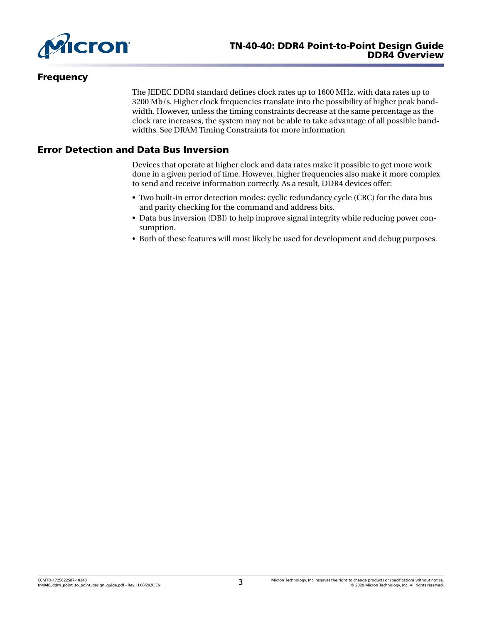

# **Frequency**

The JEDEC DDR4 standard defines clock rates up to 1600 MHz, with data rates up to 3200 Mb/s. Higher clock frequencies translate into the possibility of higher peak bandwidth. However, unless the timing constraints decrease at the same percentage as the clock rate increases, the system may not be able to take advantage of all possible bandwidths. See DRAM Timing Constraints for more information

# Error Detection and Data Bus Inversion

Devices that operate at higher clock and data rates make it possible to get more work done in a given period of time. However, higher frequencies also make it more complex to send and receive information correctly. As a result, DDR4 devices offer:

- Two built-in error detection modes: cyclic redundancy cycle (CRC) for the data bus and parity checking for the command and address bits.
- Data bus inversion (DBI) to help improve signal integrity while reducing power consumption.
- Both of these features will most likely be used for development and debug purposes.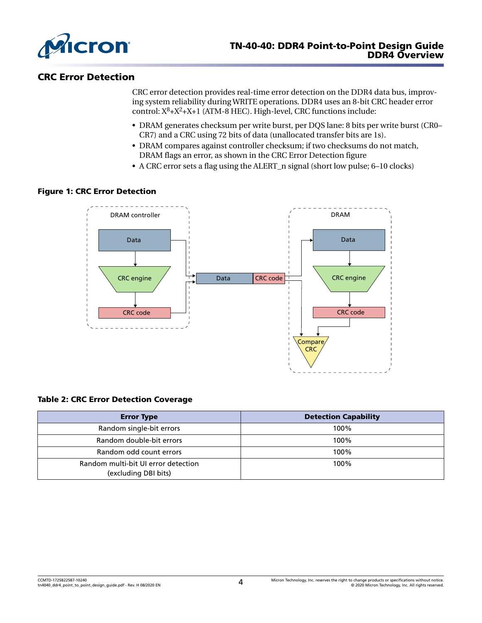

# CRC Error Detection

CRC error detection provides real-time error detection on the DDR4 data bus, improving system reliability during WRITE operations. DDR4 uses an 8-bit CRC header error control:  $X^8+X^2+X+1$  (ATM-8 HEC). High-level, CRC functions include:

- DRAM generates checksum per write burst, per DQS lane: 8 bits per write burst (CR0– CR7) and a CRC using 72 bits of data (unallocated transfer bits are 1s).
- DRAM compares against controller checksum; if two checksums do not match, DRAM flags an error, as shown in the CRC Error Detection figure
- A CRC error sets a flag using the ALERT\_n signal (short low pulse; 6–10 clocks)

#### Figure 1: CRC Error Detection



#### Table 2: CRC Error Detection Coverage

| <b>Error Type</b>                                           | <b>Detection Capability</b> |
|-------------------------------------------------------------|-----------------------------|
| Random single-bit errors                                    | 100%                        |
| Random double-bit errors                                    | 100%                        |
| Random odd count errors                                     | 100%                        |
| Random multi-bit UI error detection<br>(excluding DBI bits) | 100%                        |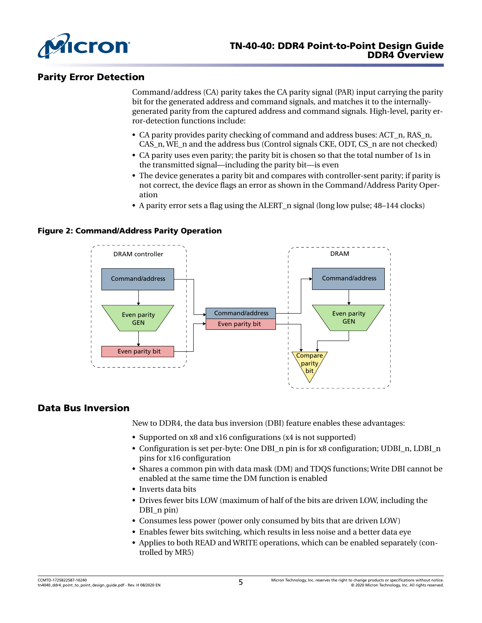

# Parity Error Detection

Command/address (CA) parity takes the CA parity signal (PAR) input carrying the parity bit for the generated address and command signals, and matches it to the internallygenerated parity from the captured address and command signals. High-level, parity error-detection functions include:

- CA parity provides parity checking of command and address buses: ACT\_n, RAS\_n, CAS n, WE n and the address bus (Control signals CKE, ODT, CS n are not checked)
- CA parity uses even parity; the parity bit is chosen so that the total number of 1s in the transmitted signal—including the parity bit—is even
- The device generates a parity bit and compares with controller-sent parity; if parity is not correct, the device flags an error as shown in the Command/Address Parity Operation
- A parity error sets a flag using the ALERT n signal (long low pulse; 48–144 clocks)

#### Figure 2: Command/Address Parity Operation



## Data Bus Inversion

New to DDR4, the data bus inversion (DBI) feature enables these advantages:

- Supported on x8 and x16 configurations (x4 is not supported)
- Configuration is set per-byte: One DBI n pin is for x8 configuration; UDBI\_n, LDBI\_n pins for x16 configuration
- Shares a common pin with data mask (DM) and TDQS functions; Write DBI cannot be enabled at the same time the DM function is enabled
- Inverts data bits
- Drives fewer bits LOW (maximum of half of the bits are driven LOW, including the DBI\_n pin)
- Consumes less power (power only consumed by bits that are driven LOW)
- Enables fewer bits switching, which results in less noise and a better data eye
- Applies to both READ and WRITE operations, which can be enabled separately (controlled by MR5)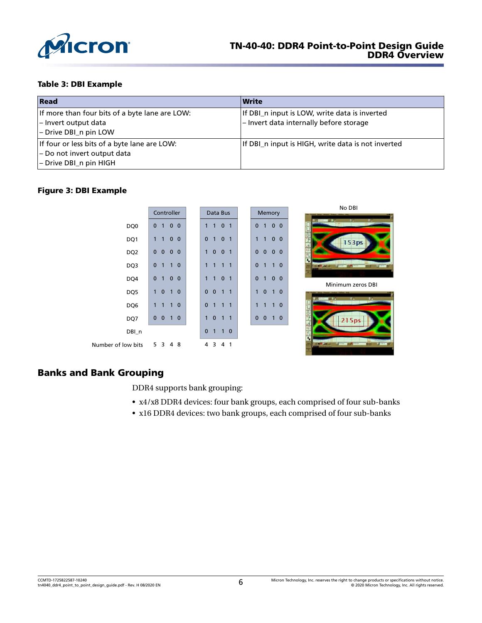

#### Table 3: DBI Example

| Read                                                                                                  | Write                                                                                    |
|-------------------------------------------------------------------------------------------------------|------------------------------------------------------------------------------------------|
| If more than four bits of a byte lane are LOW:<br>- Invert output data<br>- Drive DBI_n pin LOW       | If DBI_n input is LOW, write data is inverted<br>- Invert data internally before storage |
| If four or less bits of a byte lane are LOW:<br>- Do not invert output data<br>- Drive DBI_n pin HIGH | If DBI_n input is HIGH, write data is not inverted                                       |

## Figure 3: DBI Example

|                    | Controller                                                     | Data Bus                                       | Memory                                                        | No DBI                                      |
|--------------------|----------------------------------------------------------------|------------------------------------------------|---------------------------------------------------------------|---------------------------------------------|
|                    |                                                                |                                                |                                                               |                                             |
| DQ0                | $\mathbf{0}$<br>$\overline{0}$<br>$\mathbf{0}$<br>$\mathbf{1}$ | 0 <sub>1</sub><br>1<br>$\mathbf{1}$            | 0 <sub>0</sub><br>$\mathbf{0}$<br>$\mathbf{1}$                | $\mathcal{L}_{\mathcal{L}}$<br>ъ.<br>- 1972 |
| DQ1                | $\mathbf 0$<br>$\mathbf 0$<br>1                                | $\mathbf{0}$<br>0 <sub>1</sub><br>$\mathbf{1}$ | $\mathbf{0}$<br>1<br>$\mathbf{0}$<br>1                        | 153ps                                       |
| DQ <sub>2</sub>    | $\mathbf{0}$<br>$\mathbf 0$<br>$\mathbf{0}$<br>$\mathbf{0}$    | $\mathbf{0}$<br>0 <sub>1</sub><br>$\mathbf{1}$ | $\mathbf 0$<br>$\mathbf{0}$<br>$\mathbf 0$<br>$\mathbf{0}$    |                                             |
| DQ3                | $\mathbf 0$<br>$\overline{0}$<br>$\mathbf{1}$<br>$\mathbf{1}$  | $\mathbf{1}$<br>$\mathbf{1}$<br>$1\quad1$      | $\mathbf 0$<br>$1\quad0$<br>$\mathbf{1}$                      | <b>MILLES</b>                               |
| DQ4                | $\mathbf{0}$<br>$\mathbf 0$<br>1<br>$\mathbf 0$                | 0 <sub>1</sub><br>$\mathbf{1}$<br>$\mathbf{1}$ | $\mathbf{0}$<br>$\mathbf{0}$<br>$\mathbf{0}$<br>1             |                                             |
|                    |                                                                |                                                |                                                               | Minimum zeros DBI                           |
| DQ5                | $\mathbf{0}$<br>$\mathbf{0}$<br>$\mathbf{1}$                   | $\mathbf{0}$<br>$\mathbf{0}$<br>$1\quad1$      | $\mathbf{0}$<br>$\mathbf{1}$<br>$\mathbf{0}$<br>$\mathbf{1}$  |                                             |
|                    |                                                                |                                                |                                                               | t of an<br>$\mathbf{1}$<br>E 17             |
| DQ6                | $\mathbf{0}$<br>$\mathbf{1}$<br>$\mathbf{1}$<br>1              | $\mathbf{0}$<br>$\mathbf{1}$<br>$1\quad1$      | $1\quad0$<br>1<br>$\mathbf{1}$                                |                                             |
|                    |                                                                |                                                |                                                               |                                             |
| DQ7                | $\mathbf{0}$<br>$\mathbf{0}$<br>$\mathbf 0$<br>$\mathbf{1}$    | $\mathbf{0}$<br>$\mathbf{1}$<br>$1\quad1$      | $\mathbf{0}$<br>$\mathbf 0$<br>$\blacksquare$<br>$\mathbf{0}$ | 215ps                                       |
| DBI_n              |                                                                | $\mathbf 0$<br>$\mathbf{1}$<br>$1\quad0$       |                                                               |                                             |
| Number of low bits | 5<br>8<br>3<br>4                                               | 4<br>3<br>4 1                                  |                                                               | <b>HEART</b><br>KACI                        |

# Banks and Bank Grouping

DDR4 supports bank grouping:

- x4/x8 DDR4 devices: four bank groups, each comprised of four sub-banks
- x16 DDR4 devices: two bank groups, each comprised of four sub-banks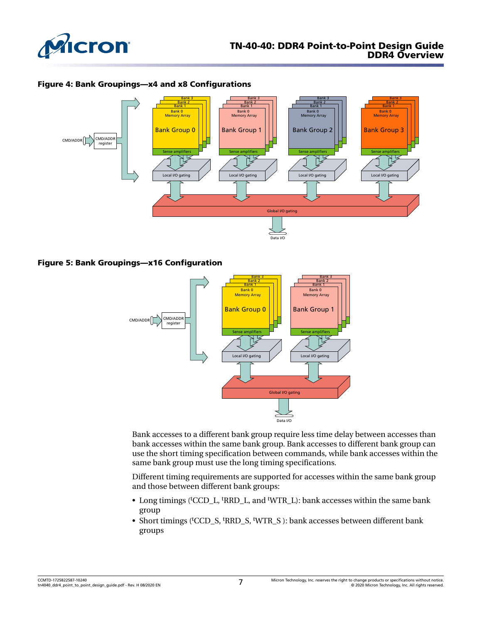

#### Figure 4: Bank Groupings—x4 and x8 Configurations



#### Figure 5: Bank Groupings—x16 Configuration



Bank accesses to a different bank group require less time delay between accesses than bank accesses within the same bank group. Bank accesses to different bank group can use the short timing specification between commands, while bank accesses within the same bank group must use the long timing specifications.

Different timing requirements are supported for accesses within the same bank group and those between different bank groups:

- Long timings (<sup>t</sup>CCD\_L, <sup>t</sup>RRD\_L, and <sup>t</sup>WTR\_L): bank accesses within the same bank group
- Short timings (<sup>t</sup>CCD\_S, <sup>t</sup>RRD\_S, <sup>t</sup>WTR\_S ): bank accesses between different bank groups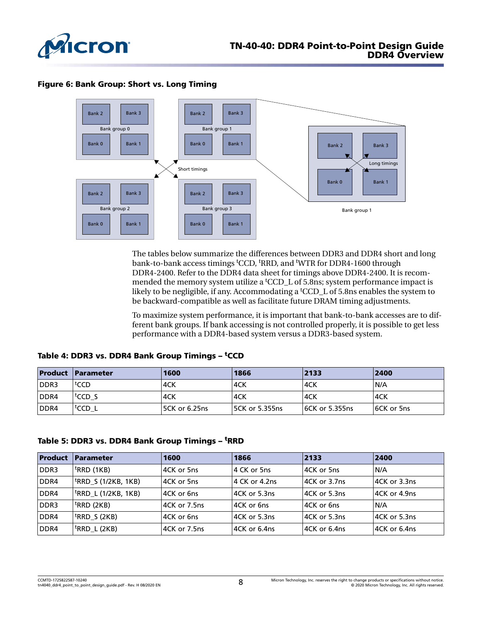

#### Figure 6: Bank Group: Short vs. Long Timing



The tables below summarize the differences between DDR3 and DDR4 short and long bank-to-bank access timings <sup>t</sup>CCD, <sup>t</sup>RRD, and <sup>t</sup>WTR for DDR4-1600 through DDR4-2400. Refer to the DDR4 data sheet for timings above DDR4-2400. It is recommended the memory system utilize a <sup>t</sup>CCD L of 5.8ns; system performance impact is likely to be negligible, if any. Accommodating a <sup>t</sup>CCD\_L of 5.8ns enables the system to be backward-compatible as well as facilitate future DRAM timing adjustments.

To maximize system performance, it is important that bank-to-bank accesses are to different bank groups. If bank accessing is not controlled properly, it is possible to get less performance with a DDR4-based system versus a DDR3-based system.

|      | <b>Product Parameter</b>        | 1600           | 1866            | 2133                  | 2400              |
|------|---------------------------------|----------------|-----------------|-----------------------|-------------------|
| DDR3 | tccd                            | 4CK            | '4CK            | 4CK                   | N/A               |
| DDR4 | l <sup>t</sup> CCD S            | '4CK           | '4CK            | 4CK                   | ∣4CK              |
| DDR4 | $\mathsf{t}^{\mathsf{t}}$ CCD_L | 15CK or 6.25ns | 15CK or 5.355ns | <b>6CK or 5.355ns</b> | <b>6CK or 5ns</b> |

#### Table 4: DDR3 vs. DDR4 Bank Group Timings - <sup>t</sup>CCD

#### Table 5: DDR3 vs. DDR4 Bank Group Timings - <sup>t</sup>RRD

| Product | <b>Parameter</b>                 | 1600         | 1866          | 2133          | 2400         |
|---------|----------------------------------|--------------|---------------|---------------|--------------|
| DDR3    | <sup>†</sup> RRD (1KB)           | 4CK or 5ns   | 4 CK or 5ns   | 4CK or 5ns    | IN/A         |
| DDR4    | <sup>†</sup> RRD_S (1/2KB, 1KB)  | 4CK or 5ns   | 4 CK or 4.2ns | 4CK or 3.7ns  | 4CK or 3.3ns |
| DDR4    | <sup> t</sup> RRD_L (1/2KB, 1KB) | 4CK or 6ns   | 4CK or 5.3ns  | 14CK or 5.3ns | 4CK or 4.9ns |
| DDR3    | <sup>†</sup> RRD (2KB)           | 4CK or 7.5ns | 4CK or 6ns    | l4CK or 6ns   | IN/A         |
| DDR4    | <sup>t</sup> RRD_S (2KB)         | 4CK or 6ns   | 4CK or 5.3ns  | 4CK or 5.3ns  | 4CK or 5.3ns |
| DDR4    | <sup> t</sup> RRD_L (2KB)        | 4CK or 7.5ns | 4CK or 6.4ns  | l4CK or 6.4ns | 4CK or 6.4ns |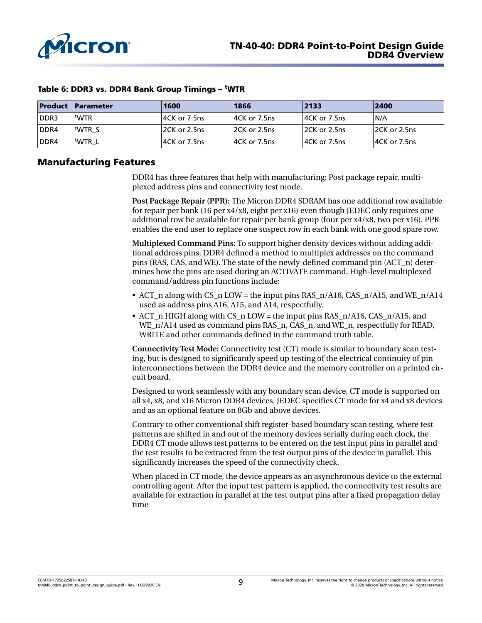

|      | <b>Product Parameter</b> | 1600          | 1866               | 2133          | 2400               |
|------|--------------------------|---------------|--------------------|---------------|--------------------|
| DDR3 | twtR                     | 14CK or 7.5ns | $ 4CK$ or $7.5$ ns | 14CK or 7.5ns | N/A                |
| DDR4 | twtr s                   | 12CK or 2.5ns | $ 2CK$ or $2.5$ ns | 12CK or 2.5ns | $ 2CK$ or $2.5$ ns |
| DDR4 | <b>WTRL</b>              | 14CK or 7.5ns | 14CK or 7.5ns      | 14CK or 7.5ns | 14CK or 7.5ns      |

#### Table 6: DDR3 vs. DDR4 Bank Group Timings – tWTR

## Manufacturing Features

DDR4 has three features that help with manufacturing: Post package repair, multiplexed address pins and connectivity test mode.

**Post Package Repair (PPR):** The Micron DDR4 SDRAM has one additional row available for repair per bank (16 per x4/x8, eight per x16) even though JEDEC only requires one additional row be available for repair per bank group (four per x4/x8, two per x16). PPR enables the end user to replace one suspect row in each bank with one good spare row.

**Multiplexed Command Pins:** To support higher density devices without adding additional address pins, DDR4 defined a method to multiplex addresses on the command pins (RAS, CAS, and WE). The state of the newly-defined command pin (ACT\_n) determines how the pins are used during an ACTIVATE command. High-level multiplexed command/address pin functions include:

- ACT n along with CS n LOW = the input pins RAS  $n/Al6$ , CAS  $n/Al5$ , and WE  $n/Al4$ used as address pins A16, A15, and A14, respectfully.
- ACT n HIGH along with CS n LOW = the input pins RAS n/A16, CAS n/A15, and WE\_n/A14 used as command pins RAS\_n, CAS\_n, and WE\_n, respectfully for READ, WRITE and other commands defined in the command truth table.

**Connectivity Test Mode:** Connectivity test (CT) mode is similar to boundary scan testing, but is designed to significantly speed up testing of the electrical continuity of pin interconnections between the DDR4 device and the memory controller on a printed circuit board.

Designed to work seamlessly with any boundary scan device, CT mode is supported on all x4, x8, and x16 Micron DDR4 devices. JEDEC specifies CT mode for x4 and x8 devices and as an optional feature on 8Gb and above devices.

Contrary to other conventional shift register-based boundary scan testing, where test patterns are shifted in and out of the memory devices serially during each clock, the DDR4 CT mode allows test patterns to be entered on the test input pins in parallel and the test results to be extracted from the test output pins of the device in parallel. This significantly increases the speed of the connectivity check.

When placed in CT mode, the device appears as an asynchronous device to the external controlling agent. After the input test pattern is applied, the connectivity test results are available for extraction in parallel at the test output pins after a fixed propagation delay time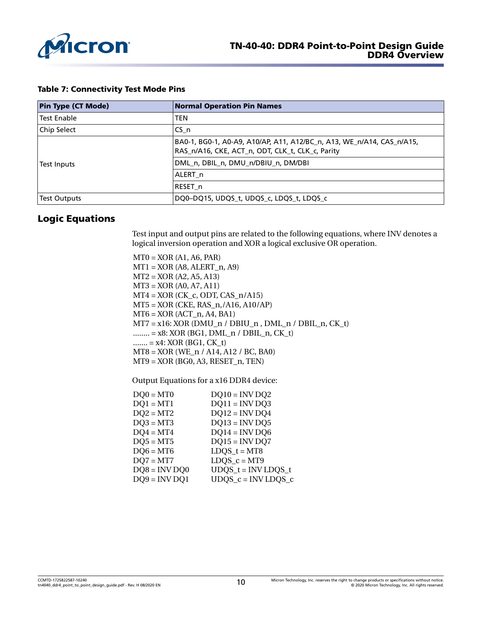

#### Table 7: Connectivity Test Mode Pins

| <b>Pin Type (CT Mode)</b> | <b>Normal Operation Pin Names</b>                                                                                         |
|---------------------------|---------------------------------------------------------------------------------------------------------------------------|
| <b>Test Enable</b>        | <b>TEN</b>                                                                                                                |
| Chip Select               | ICS n                                                                                                                     |
|                           | BA0-1, BG0-1, A0-A9, A10/AP, A11, A12/BC_n, A13, WE_n/A14, CAS_n/A15,<br>RAS_n/A16, CKE, ACT_n, ODT, CLK_t, CLK_c, Parity |
| Test Inputs               | DML n, DBIL n, DMU n/DBIU n, DM/DBI                                                                                       |
|                           | ALERT n                                                                                                                   |
|                           | RESET n                                                                                                                   |
| Test Outputs              | DQ0-DQ15, UDQS_t, UDQS_c, LDQS_t, LDQS_c                                                                                  |

## Logic Equations

Test input and output pins are related to the following equations, where INV denotes a logical inversion operation and XOR a logical exclusive OR operation.

 $MT0 = XOR (A1, A6, PAR)$  $MT1 = XOR (A8, ALERT_n, A9)$ MT2 = XOR (A2, A5, A13) MT3 = XOR (A0, A7, A11)  $MT4 = XOR (CK_c, ODT, CAS_n/Al5)$ MT5 = XOR (CKE, RAS\_n,/A16, A10/AP)  $MT6 = XOR (ACT_n, A4, B41)$  $MT7 = x16$ : XOR (DMU\_n / DBIU\_n, DML\_n / DBIL\_n, CK\_t) ........ = x8: XOR (BG1, DML\_n / DBIL\_n, CK\_t)  $...... = x4$ : XOR (BG1, CK t) MT8 = XOR (WE\_n / A14, A12 / BC, BA0) MT9 = XOR (BG0, A3, RESET\_n, TEN)

Output Equations for a x16 DDR4 device:

| $DO0 = MT0$     | $DQ10 = INV DO2$     |
|-----------------|----------------------|
| $DQ1 = MT1$     | $DQ11 = INV DQ3$     |
| $DQ2 = MT2$     | $DQ12 = INVDQ4$      |
| $DQ3 = MT3$     | $DQ13 = INV DQ5$     |
| $DQ4 = MT4$     | $DQ14 = INV DQ6$     |
| $DQ5 = MT5$     | $DQ15 = INV$ DQ7     |
| $DQ6 = MT6$     | LDQS $t = MT8$       |
| $DQ7 = MT7$     | LDQS $c = MT9$       |
| $DQ8 = INV DQ0$ | $UDQS_t = INVLDQS_t$ |
| $DQ9 = INV DQ1$ | $UDQS_c = INVLDQS_c$ |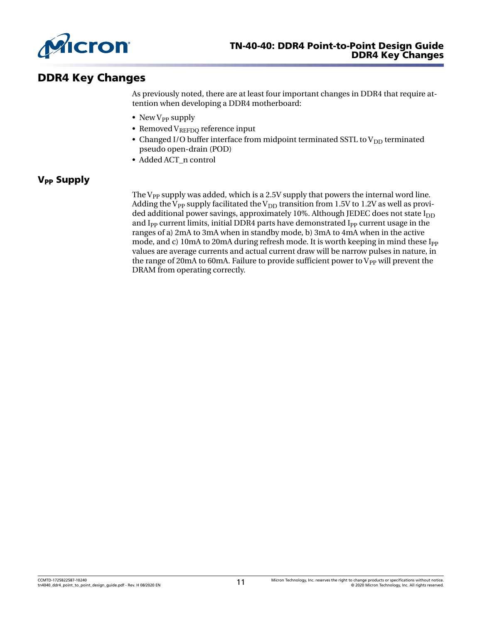

# DDR4 Key Changes

As previously noted, there are at least four important changes in DDR4 that require attention when developing a DDR4 motherboard:

- New  $V_{PP}$  supply
- Removed  $V_{REFDQ}$  reference input
- Changed I/O buffer interface from midpoint terminated SSTL to  $V_{DD}$  terminated pseudo open-drain (POD)
- Added ACT\_n control

# **V<sub>PP</sub>** Supply

The  $V_{PP}$  supply was added, which is a 2.5V supply that powers the internal word line. Adding the V<sub>PP</sub> supply facilitated the V<sub>DD</sub> transition from 1.5V to 1.2V as well as provided additional power savings, approximately 10%. Although JEDEC does not state  $I_{DD}$ and I<sub>PP</sub> current limits, initial DDR4 parts have demonstrated I<sub>PP</sub> current usage in the ranges of a) 2mA to 3mA when in standby mode, b) 3mA to 4mA when in the active mode, and c) 10mA to 20mA during refresh mode. It is worth keeping in mind these I<sub>PP</sub> values are average currents and actual current draw will be narrow pulses in nature, in the range of 20mA to 60mA. Failure to provide sufficient power to  $V_{PP}$  will prevent the DRAM from operating correctly.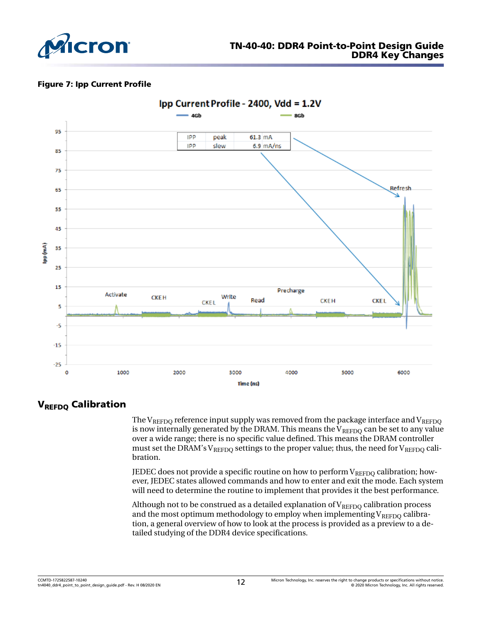

#### Figure 7: Ipp Current Profile



# **VREFDQ Calibration**

The  $V_{REFDO}$  reference input supply was removed from the package interface and  $V_{REFDO}$ is now internally generated by the DRAM. This means the  $V_{REFDO}$  can be set to any value over a wide range; there is no specific value defined. This means the DRAM controller must set the DRAM's V<sub>REFDO</sub> settings to the proper value; thus, the need for V<sub>REFDO</sub> calibration.

JEDEC does not provide a specific routine on how to perform  $V_{REFDO}$  calibration; however, JEDEC states allowed commands and how to enter and exit the mode. Each system will need to determine the routine to implement that provides it the best performance.

Although not to be construed as a detailed explanation of  $V_{REFDQ}$  calibration process and the most optimum methodology to employ when implementing  $V_{REFDQ}$  calibration, a general overview of how to look at the process is provided as a preview to a detailed studying of the DDR4 device specifications.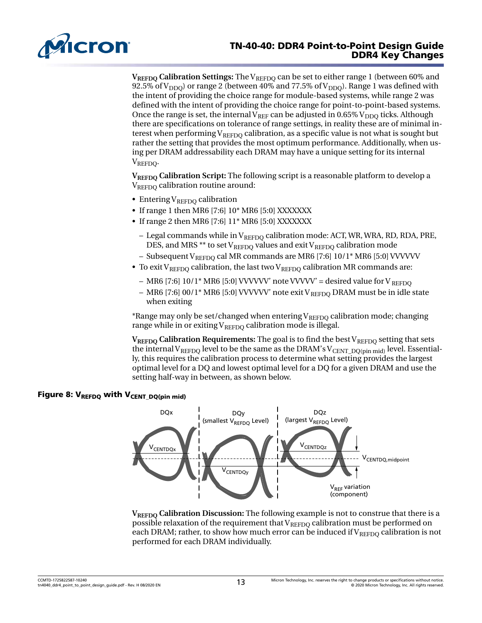

## TN-40-40: DDR4 Point-to-Point Design Guide DDR4 Key Changes

**V<sub>REFDQ</sub>** Calibration Settings: The V<sub>REFDQ</sub> can be set to either range 1 (between 60% and 92.5% of  $V_{\text{DDO}}$ ) or range 2 (between 40% and 77.5% of  $V_{\text{DDO}}$ ). Range 1 was defined with the intent of providing the choice range for module-based systems, while range 2 was defined with the intent of providing the choice range for point-to-point-based systems. Once the range is set, the internal  $V_{REF}$  can be adjusted in 0.65%  $V_{DDO}$  ticks. Although there are specifications on tolerance of range settings, in reality these are of minimal interest when performing  $V_{REFDO}$  calibration, as a specific value is not what is sought but rather the setting that provides the most optimum performance. Additionally, when using per DRAM addressability each DRAM may have a unique setting for its internal V<sub>REFDO</sub>.

**VREFDQ Calibration Script:** The following script is a reasonable platform to develop a  $V_{REFDO}$  calibration routine around:

- Entering  $V_{REFDO}$  calibration
- If range 1 then MR6 [7:6] 10\* MR6 [5:0] XXXXXXX
- If range 2 then MR6 [7:6] 11\* MR6 [5:0] XXXXXXX
	- Legal commands while in  $V_{REFDQ}$  calibration mode: ACT, WR, WRA, RD, RDA, PRE, DES, and MRS \*\* to set  $V_{REFDQ}$  values and exit  $V_{REFDQ}$  calibration mode
	- Subsequent V<sub>REFDO</sub> cal MR commands are MR6 [7:6]  $10/1*$  MR6 [5:0] VVVVVV
- To exit V<sub>REFDO</sub> calibration, the last two V<sub>REFDO</sub> calibration MR commands are:
	- MR6 [7:6]  $10/1$ <sup>\*</sup> MR6 [5:0] VVVVVV' note VVVVV' = desired value for V REFDO
	- MR6 [7:6] 00/1\* MR6 [5:0] VVVVVV' note exit V<sub>REFDO</sub> DRAM must be in idle state when exiting

\*Range may only be set/changed when entering  $V_{REFDO}$  calibration mode; changing range while in or exiting  $V_{REFDO}$  calibration mode is illegal.

**VREFDO** Calibration Requirements: The goal is to find the best VREFDO setting that sets the internal V<sub>REFDQ</sub> level to be the same as the DRAM's V<sub>CENT\_DQ(pin mid)</sub> level. Essentially, this requires the calibration process to determine what setting provides the largest optimal level for a DQ and lowest optimal level for a DQ for a given DRAM and use the setting half-way in between, as shown below.

# Figure 8:  $V_{REFDQ}$  with  $V_{CENT_DQ(pin mid)}$



**VREFDQ Calibration Discussion:** The following example is not to construe that there is a possible relaxation of the requirement that  $V_{REFDO}$  calibration must be performed on each DRAM; rather, to show how much error can be induced if  $V_{REFDO}$  calibration is not performed for each DRAM individually.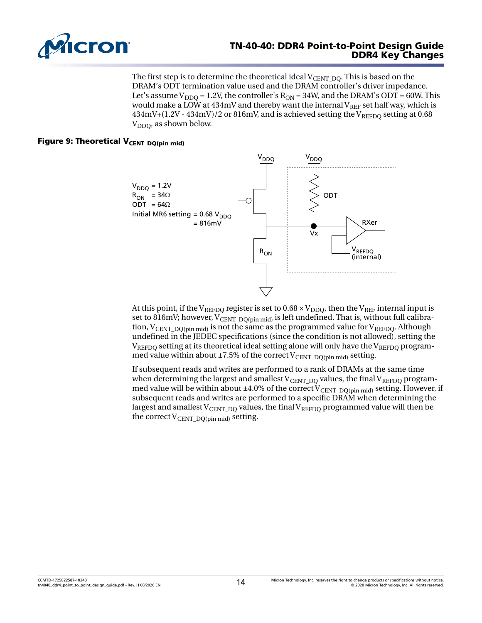

#### TN-40-40: DDR4 Point-to-Point Design Guide DDR4 Key Changes

The first step is to determine the theoretical ideal  $V_{\text{CENT\_DO}}$ . This is based on the DRAM's ODT termination value used and the DRAM controller's driver impedance. Let's assume  $V_{DDO} = 1.2V$ , the controller's  $R_{ON} = 34W$ , and the DRAM's ODT = 60W. This would make a LOW at  $434mV$  and thereby want the internal  $V_{RFF}$  set half way, which is 434mV+(1.2V - 434mV)/2 or 816mV, and is achieved setting the VREFDQ setting at 0.68  $V_{DDO}$ , as shown below.

## Figure 9: Theoretical  $V_{\text{CENT_DQ(pin mid)}}$



At this point, if the V<sub>REFDO</sub> register is set to  $0.68 \times V_{DDO}$ , then the V<sub>REF</sub> internal input is set to 816mV; however, V<sub>CENT</sub> <sub>DO(pin mid)</sub> is left undefined. That is, without full calibration,  $V_{\text{CENT DO(pin mid)}}$  is not the same as the programmed value for  $V_{\text{REFDO}}$ . Although undefined in the JEDEC specifications (since the condition is not allowed), setting the  $V_{REFDO}$  setting at its theoretical ideal setting alone will only have the  $V_{REFDO}$  programmed value within about  $\pm 7.5\%$  of the correct V<sub>CENT</sub> DO(pin mid) setting.

If subsequent reads and writes are performed to a rank of DRAMs at the same time when determining the largest and smallest  $V_{\text{CENT-DO}}$  values, the final  $V_{\text{REFDO}}$  programmed value will be within about ±4.0% of the correct  $V_{\text{CENT DO(pin mid)}}$  setting. However, if subsequent reads and writes are performed to a specific DRAM when determining the largest and smallest  $V_{\text{CENT-DO}}$  values, the final  $V_{\text{REFDO}}$  programmed value will then be the correct  $V_{\text{CENT-DO}(pin mid)}$  setting.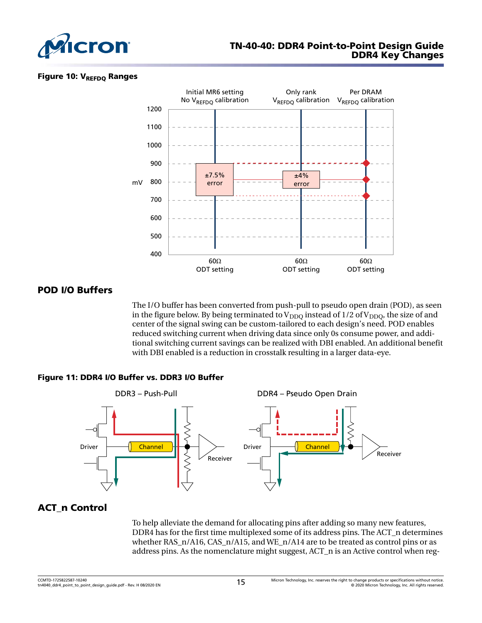

#### Figure 10: V<sub>REFDO</sub> Ranges



# POD I/O Buffers

The I/O buffer has been converted from push-pull to pseudo open drain (POD), as seen in the figure below. By being terminated to  $V_{DDO}$  instead of 1/2 of  $V_{DDO}$ , the size of and center of the signal swing can be custom-tailored to each design's need. POD enables reduced switching current when driving data since only 0s consume power, and additional switching current savings can be realized with DBI enabled. An additional benefit with DBI enabled is a reduction in crosstalk resulting in a larger data-eye.

#### Figure 11: DDR4 I/O Buffer vs. DDR3 I/O Buffer



# ACT\_n Control

To help alleviate the demand for allocating pins after adding so many new features, DDR4 has for the first time multiplexed some of its address pins. The ACT\_n determines whether RAS  $n/A16$ , CAS  $n/A15$ , and WE  $n/A14$  are to be treated as control pins or as address pins. As the nomenclature might suggest, ACT\_n is an Active control when reg-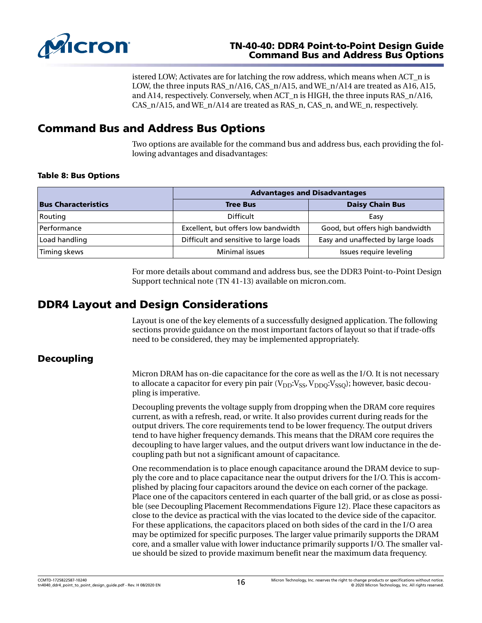

## TN-40-40: DDR4 Point-to-Point Design Guide Command Bus and Address Bus Options

istered LOW; Activates are for latching the row address, which means when ACT\_n is LOW, the three inputs RAS\_n/A16, CAS\_n/A15, and WE\_n/A14 are treated as A16, A15, and A14, respectively. Conversely, when ACT\_n is HIGH, the three inputs RAS\_n/A16, CAS  $n/A15$ , and WE  $n/A14$  are treated as RAS n, CAS n, and WE n, respectively.

# Command Bus and Address Bus Options

Two options are available for the command bus and address bus, each providing the following advantages and disadvantages:

#### Table 8: Bus Options

|                            | <b>Advantages and Disadvantages</b>    |                                    |  |  |
|----------------------------|----------------------------------------|------------------------------------|--|--|
| <b>Bus Characteristics</b> | <b>Tree Bus</b>                        | <b>Daisy Chain Bus</b>             |  |  |
| Routing                    | <b>Difficult</b>                       | Easy                               |  |  |
| Performance                | Excellent, but offers low bandwidth    | Good, but offers high bandwidth    |  |  |
| Load handling              | Difficult and sensitive to large loads | Easy and unaffected by large loads |  |  |
| Timing skews               | Minimal issues                         | Issues require leveling            |  |  |

For more details about command and address bus, see the [DDR3 Point-to-Point Design](https://www.micron.com/resource-details/dab1ddd4-ca80-49d6-8e3e-3e23806309b8) [Support technical note](https://www.micron.com/resource-details/dab1ddd4-ca80-49d6-8e3e-3e23806309b8) (TN 41-13) available on micron.com.

# DDR4 Layout and Design Considerations

Layout is one of the key elements of a successfully designed application. The following sections provide guidance on the most important factors of layout so that if trade-offs need to be considered, they may be implemented appropriately.

# Decoupling

Micron DRAM has on-die capacitance for the core as well as the I/O. It is not necessary to allocate a capacitor for every pin pair  $(V_{DD}:V_{SS}, V_{DDO}:V_{SSO})$ ; however, basic decoupling is imperative.

Decoupling prevents the voltage supply from dropping when the DRAM core requires current, as with a refresh, read, or write. It also provides current during reads for the output drivers. The core requirements tend to be lower frequency. The output drivers tend to have higher frequency demands. This means that the DRAM core requires the decoupling to have larger values, and the output drivers want low inductance in the decoupling path but not a significant amount of capacitance.

One recommendation is to place enough capacitance around the DRAM device to supply the core and to place capacitance near the output drivers for the I/O. This is accomplished by placing four capacitors around the device on each corner of the package. Place one of the capacitors centered in each quarter of the ball grid, or as close as possible (see Decoupling Placement Recommendations [Figure 12\)](#page-16-0). Place these capacitors as close to the device as practical with the vias located to the device side of the capacitor. For these applications, the capacitors placed on both sides of the card in the I/O area may be optimized for specific purposes. The larger value primarily supports the DRAM core, and a smaller value with lower inductance primarily supports I/O. The smaller value should be sized to provide maximum benefit near the maximum data frequency.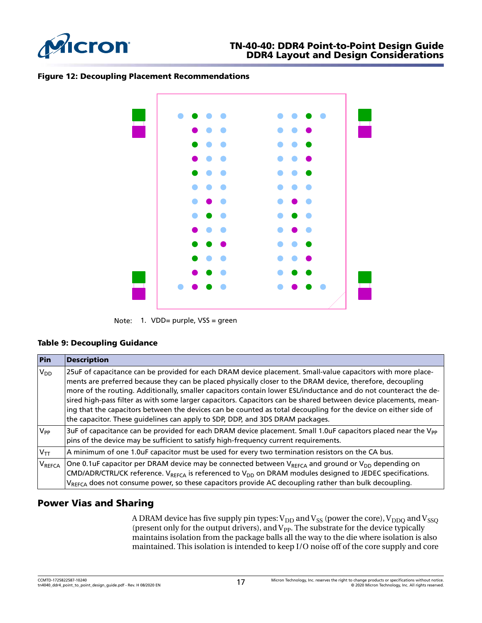<span id="page-16-0"></span>

#### Figure 12: Decoupling Placement Recommendations



Note: 1. VDD= purple, VSS = green

#### Table 9: Decoupling Guidance

| Pin            | <b>Description</b>                                                                                                                                                                                                                                                                                                                                                                                                                                                                                                                                                                                                                                                    |
|----------------|-----------------------------------------------------------------------------------------------------------------------------------------------------------------------------------------------------------------------------------------------------------------------------------------------------------------------------------------------------------------------------------------------------------------------------------------------------------------------------------------------------------------------------------------------------------------------------------------------------------------------------------------------------------------------|
| $V_{DD}$       | 25uF of capacitance can be provided for each DRAM device placement. Small-value capacitors with more place-<br>ments are preferred because they can be placed physically closer to the DRAM device, therefore, decoupling<br>more of the routing. Additionally, smaller capacitors contain lower ESL/inductance and do not counteract the de-<br>sired high-pass filter as with some larger capacitors. Capacitors can be shared between device placements, mean-<br>ing that the capacitors between the devices can be counted as total decoupling for the device on either side of<br>the capacitor. These guidelines can apply to SDP, DDP, and 3DS DRAM packages. |
| $V_{PP}$       | 3uF of capacitance can be provided for each DRAM device placement. Small 1.0uF capacitors placed near the V <sub>PP</sub><br>pins of the device may be sufficient to satisfy high-frequency current requirements.                                                                                                                                                                                                                                                                                                                                                                                                                                                     |
| $V_{TT}$       | A minimum of one 1.0uF capacitor must be used for every two termination resistors on the CA bus.                                                                                                                                                                                                                                                                                                                                                                                                                                                                                                                                                                      |
| <b>V</b> REFCA | One 0.1uF capacitor per DRAM device may be connected between $V_{REFCA}$ and ground or $V_{DD}$ depending on<br>CMD/ADR/CTRL/CK reference. V <sub>REFCA</sub> is referenced to V <sub>DD</sub> on DRAM modules designed to JEDEC specifications.<br>V <sub>REFCA</sub> does not consume power, so these capacitors provide AC decoupling rather than bulk decoupling.                                                                                                                                                                                                                                                                                                 |

# Power Vias and Sharing

A DRAM device has five supply pin types:  $V_{DD}$  and  $V_{SS}$  (power the core),  $V_{DDQ}$  and  $V_{SSQ}$ (present only for the output drivers), and  $V_{PP}$ . The substrate for the device typically maintains isolation from the package balls all the way to the die where isolation is also maintained. This isolation is intended to keep I/O noise off of the core supply and core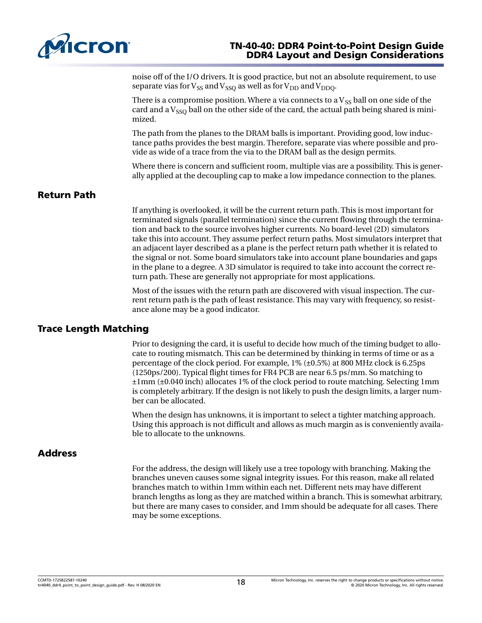

## TN-40-40: DDR4 Point-to-Point Design Guide DDR4 Layout and Design Considerations

noise off of the I/O drivers. It is good practice, but not an absolute requirement, to use separate vias for  $V_{SS}$  and  $V_{SSO}$  as well as for  $V_{DD}$  and  $V_{DDO}$ .

There is a compromise position. Where a via connects to a  $V_{SS}$  ball on one side of the card and a  $V_{SSO}$  ball on the other side of the card, the actual path being shared is minimized.

The path from the planes to the DRAM balls is important. Providing good, low inductance paths provides the best margin. Therefore, separate vias where possible and provide as wide of a trace from the via to the DRAM ball as the design permits.

Where there is concern and sufficient room, multiple vias are a possibility. This is generally applied at the decoupling cap to make a low impedance connection to the planes.

# Return Path

If anything is overlooked, it will be the current return path. This is most important for terminated signals (parallel termination) since the current flowing through the termination and back to the source involves higher currents. No board-level (2D) simulators take this into account. They assume perfect return paths. Most simulators interpret that an adjacent layer described as a plane is the perfect return path whether it is related to the signal or not. Some board simulators take into account plane boundaries and gaps in the plane to a degree. A 3D simulator is required to take into account the correct return path. These are generally not appropriate for most applications.

Most of the issues with the return path are discovered with visual inspection. The current return path is the path of least resistance. This may vary with frequency, so resistance alone may be a good indicator.

## Trace Length Matching

Prior to designing the card, it is useful to decide how much of the timing budget to allocate to routing mismatch. This can be determined by thinking in terms of time or as a percentage of the clock period. For example, 1% (±0.5%) at 800 MHz clock is 6.25ps (1250ps/200). Typical flight times for FR4 PCB are near 6.5 ps/mm. So matching to ±1mm (±0.040 inch) allocates 1% of the clock period to route matching. Selecting 1mm is completely arbitrary. If the design is not likely to push the design limits, a larger number can be allocated.

When the design has unknowns, it is important to select a tighter matching approach. Using this approach is not difficult and allows as much margin as is conveniently available to allocate to the unknowns.

## **Address**

For the address, the design will likely use a tree topology with branching. Making the branches uneven causes some signal integrity issues. For this reason, make all related branches match to within 1mm within each net. Different nets may have different branch lengths as long as they are matched within a branch. This is somewhat arbitrary, but there are many cases to consider, and 1mm should be adequate for all cases. There may be some exceptions.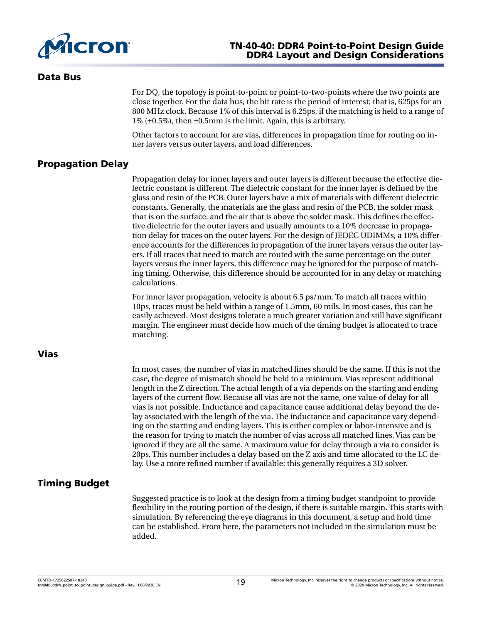

## TN-40-40: DDR4 Point-to-Point Design Guide DDR4 Layout and Design Considerations

#### Data Bus

For DQ, the topology is point-to-point or point-to-two-points where the two points are close together. For the data bus, the bit rate is the period of interest; that is, 625ps for an 800 MHz clock. Because 1% of this interval is 6.25ps, if the matching is held to a range of 1% (±0.5%), then ±0.5mm is the limit. Again, this is arbitrary.

Other factors to account for are vias, differences in propagation time for routing on inner layers versus outer layers, and load differences.

# Propagation Delay

Propagation delay for inner layers and outer layers is different because the effective dielectric constant is different. The dielectric constant for the inner layer is defined by the glass and resin of the PCB. Outer layers have a mix of materials with different dielectric constants. Generally, the materials are the glass and resin of the PCB, the solder mask that is on the surface, and the air that is above the solder mask. This defines the effective dielectric for the outer layers and usually amounts to a 10% decrease in propagation delay for traces on the outer layers. For the design of JEDEC UDIMMs, a 10% difference accounts for the differences in propagation of the inner layers versus the outer layers. If all traces that need to match are routed with the same percentage on the outer layers versus the inner layers, this difference may be ignored for the purpose of matching timing. Otherwise, this difference should be accounted for in any delay or matching calculations.

For inner layer propagation, velocity is about 6.5 ps/mm. To match all traces within 10ps, traces must be held within a range of 1.5mm, 60 mils. In most cases, this can be easily achieved. Most designs tolerate a much greater variation and still have significant margin. The engineer must decide how much of the timing budget is allocated to trace matching.

## Vias

In most cases, the number of vias in matched lines should be the same. If this is not the case, the degree of mismatch should be held to a minimum. Vias represent additional length in the Z direction. The actual length of a via depends on the starting and ending layers of the current flow. Because all vias are not the same, one value of delay for all vias is not possible. Inductance and capacitance cause additional delay beyond the delay associated with the length of the via. The inductance and capacitance vary depending on the starting and ending layers. This is either complex or labor-intensive and is the reason for trying to match the number of vias across all matched lines. Vias can be ignored if they are all the same. A maximum value for delay through a via to consider is 20ps. This number includes a delay based on the Z axis and time allocated to the LC delay. Use a more refined number if available; this generally requires a 3D solver.

# Timing Budget

Suggested practice is to look at the design from a timing budget standpoint to provide flexibility in the routing portion of the design, if there is suitable margin. This starts with simulation. By referencing the eye diagrams in this document, a setup and hold time can be established. From here, the parameters not included in the simulation must be added.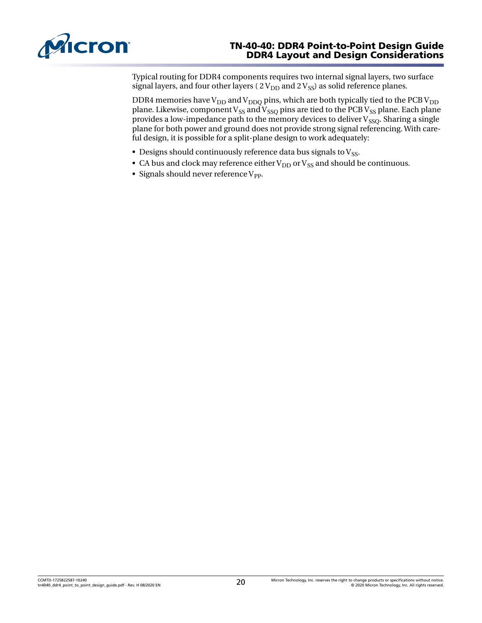

## TN-40-40: DDR4 Point-to-Point Design Guide DDR4 Layout and Design Considerations

Typical routing for DDR4 components requires two internal signal layers, two surface signal layers, and four other layers ( $2V_{DD}$  and  $2V_{SS}$ ) as solid reference planes.

DDR4 memories have  $V_{DD}$  and  $V_{DDQ}$  pins, which are both typically tied to the PCB  $V_{DD}$ plane. Likewise, component V<sub>SS</sub> and V<sub>SSQ</sub> pins are tied to the PCB V<sub>SS</sub> plane. Each plane provides a low-impedance path to the memory devices to deliver  $V_{SSO}$ . Sharing a single plane for both power and ground does not provide strong signal referencing. With careful design, it is possible for a split-plane design to work adequately:

- Designs should continuously reference data bus signals to  $V_{SS}$ .
- CA bus and clock may reference either  $V_{DD}$  or  $V_{SS}$  and should be continuous.
- Signals should never reference  $V_{PP}$ .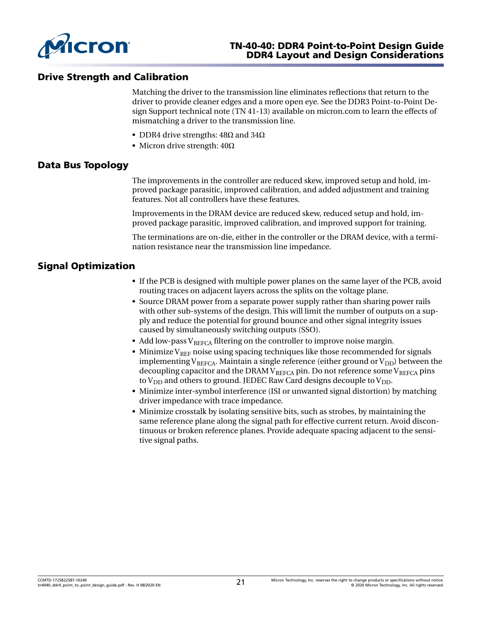

# Drive Strength and Calibration

Matching the driver to the transmission line eliminates reflections that return to the driver to provide cleaner edges and a more open eye. See the [DDR3 Point-to-Point De](https://www.micron.com/resource-details/dab1ddd4-ca80-49d6-8e3e-3e23806309b8)[sign Support technical note](https://www.micron.com/resource-details/dab1ddd4-ca80-49d6-8e3e-3e23806309b8) (TN 41-13) available on micron.com to learn the effects of mismatching a driver to the transmission line.

- DDR4 drive strengths:  $48\Omega$  and  $34\Omega$
- Micron drive strength:  $40Ω$

## Data Bus Topology

The improvements in the controller are reduced skew, improved setup and hold, improved package parasitic, improved calibration, and added adjustment and training features. Not all controllers have these features.

Improvements in the DRAM device are reduced skew, reduced setup and hold, improved package parasitic, improved calibration, and improved support for training.

The terminations are on-die, either in the controller or the DRAM device, with a termination resistance near the transmission line impedance.

# Signal Optimization

- If the PCB is designed with multiple power planes on the same layer of the PCB, avoid routing traces on adjacent layers across the splits on the voltage plane.
- Source DRAM power from a separate power supply rather than sharing power rails with other sub-systems of the design. This will limit the number of outputs on a supply and reduce the potential for ground bounce and other signal integrity issues caused by simultaneously switching outputs (SSO).
- Add low-pass  $V_{REFCA}$  filtering on the controller to improve noise margin.
- Minimize  $V_{REF}$  noise using spacing techniques like those recommended for signals implementing  $V_{REFCA}$ . Maintain a single reference (either ground or  $V_{DD}$ ) between the decoupling capacitor and the DRAM  $V_{REFCA}$  pin. Do not reference some  $V_{REFCA}$  pins to  $V_{DD}$  and others to ground. JEDEC Raw Card designs decouple to  $V_{DD}$ .
- Minimize inter-symbol interference (ISI or unwanted signal distortion) by matching driver impedance with trace impedance.
- Minimize crosstalk by isolating sensitive bits, such as strobes, by maintaining the same reference plane along the signal path for effective current return. Avoid discontinuous or broken reference planes. Provide adequate spacing adjacent to the sensitive signal paths.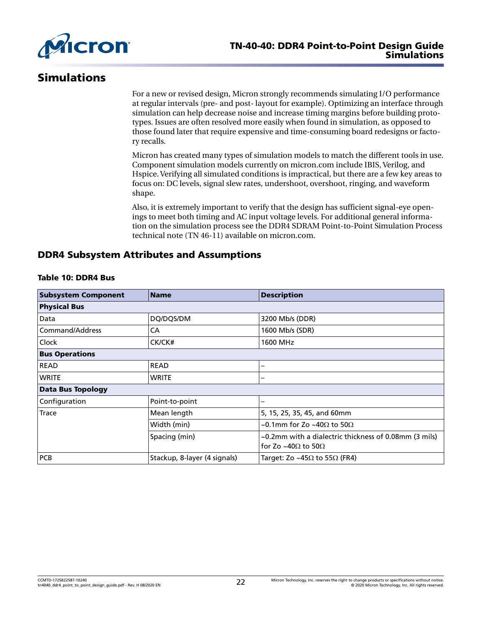

# Simulations

For a new or revised design, Micron strongly recommends simulating I/O performance at regular intervals (pre- and post- layout for example). Optimizing an interface through simulation can help decrease noise and increase timing margins before building prototypes. Issues are often resolved more easily when found in simulation, as opposed to those found later that require expensive and time-consuming board redesigns or factory recalls.

Micron has created many types of simulation models to match the different tools in use. Component simulation models currently on micron.com include IBIS, Verilog, and Hspice. Verifying all simulated conditions is impractical, but there are a few key areas to focus on: DC levels, signal slew rates, undershoot, overshoot, ringing, and waveform shape.

Also, it is extremely important to verify that the design has sufficient signal-eye openings to meet both timing and AC input voltage levels. For additional general information on the simulation process see the [DDR4 SDRAM Point-to-Point Simulation Process](https://www.micron.com/resource-details/93347ad8-7101-43d7-9fce-fb69bfa397a3) [technical note \(TN 46-11\) a](https://www.micron.com/resource-details/93347ad8-7101-43d7-9fce-fb69bfa397a3)vailable on micron.com.

# DDR4 Subsystem Attributes and Assumptions

| <b>Subsystem Component</b> | <b>Name</b>                  | <b>Description</b>                                                                          |  |  |  |
|----------------------------|------------------------------|---------------------------------------------------------------------------------------------|--|--|--|
| <b>Physical Bus</b>        |                              |                                                                                             |  |  |  |
| Data                       | DQ/DQS/DM                    | 3200 Mb/s (DDR)                                                                             |  |  |  |
| Command/Address            | CA                           | 1600 Mb/s (SDR)                                                                             |  |  |  |
| Clock                      | CK/CK#                       | 1600 MHz                                                                                    |  |  |  |
| <b>Bus Operations</b>      |                              |                                                                                             |  |  |  |
| <b>READ</b>                | <b>READ</b>                  |                                                                                             |  |  |  |
| <b>WRITE</b>               | <b>WRITE</b>                 |                                                                                             |  |  |  |
| <b>Data Bus Topology</b>   |                              |                                                                                             |  |  |  |
| Configuration              | Point-to-point               |                                                                                             |  |  |  |
| <b>Trace</b>               | Mean length                  | 5, 15, 25, 35, 45, and 60mm                                                                 |  |  |  |
|                            | Width (min)                  | ~0.1mm for Zo ~40 $\Omega$ to 50 $\Omega$                                                   |  |  |  |
|                            | Spacing (min)                | ~0.2mm with a dialectric thickness of 0.08mm (3 mils)<br>for Zo ~40 $\Omega$ to 50 $\Omega$ |  |  |  |
| PCB                        | Stackup, 8-layer (4 signals) | Target: Zo ~45 $\Omega$ to 55 $\Omega$ (FR4)                                                |  |  |  |

#### Table 10: DDR4 Bus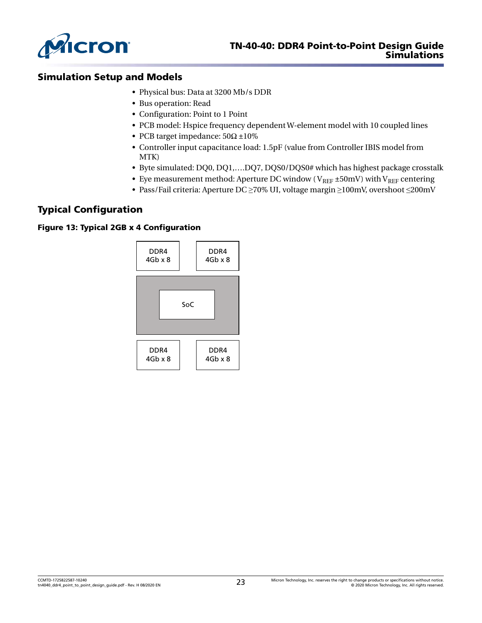

# Simulation Setup and Models

- Physical bus: Data at 3200 Mb/s DDR
- Bus operation: Read
- Configuration: Point to 1 Point
- PCB model: Hspice frequency dependent W-element model with 10 coupled lines
- PCB target impedance:  $50\Omega \pm 10\%$
- Controller input capacitance load: 1.5pF (value from Controller IBIS model from MTK)
- Byte simulated: DQ0, DQ1,….DQ7, DQS0/DQS0# which has highest package crosstalk
- Eye measurement method: Aperture DC window ( $V_{REF}$  ±50mV) with  $V_{REF}$  centering
- Pass/Fail criteria: Aperture DC ≥70% UI, voltage margin ≥100mV, overshoot ≤200mV

# Typical Configuration

#### Figure 13: Typical 2GB x 4 Configuration

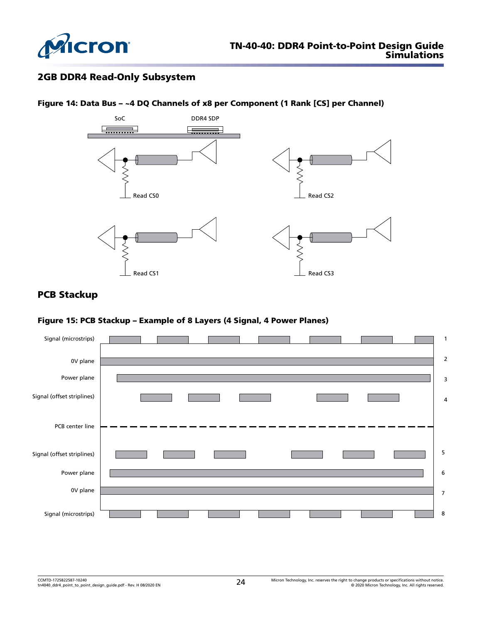

# 2GB DDR4 Read-Only Subsystem



## Figure 14: Data Bus – ~4 DQ Channels of x8 per Component (1 Rank [CS] per Channel)

# PCB Stackup

#### Figure 15: PCB Stackup – Example of 8 Layers (4 Signal, 4 Power Planes)

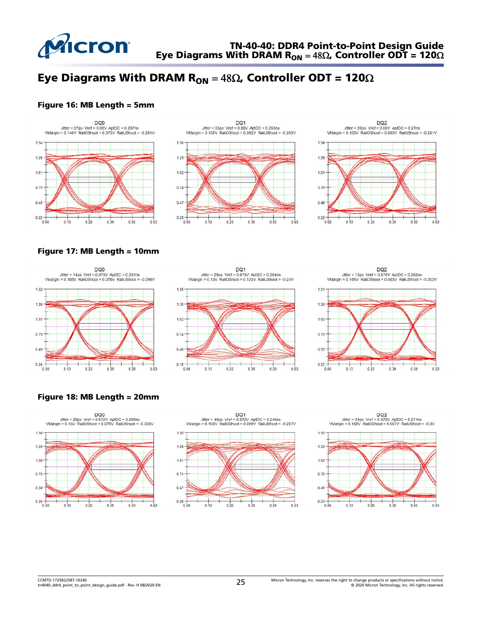

# Eye Diagrams With DRAM  $R_{ON} = 48\Omega$ , Controller ODT = 120 $\Omega$

#### Figure 16: MB Length = 5mm



#### Figure 17: MB Length = 10mm



#### Figure 18: MB Length = 20mm

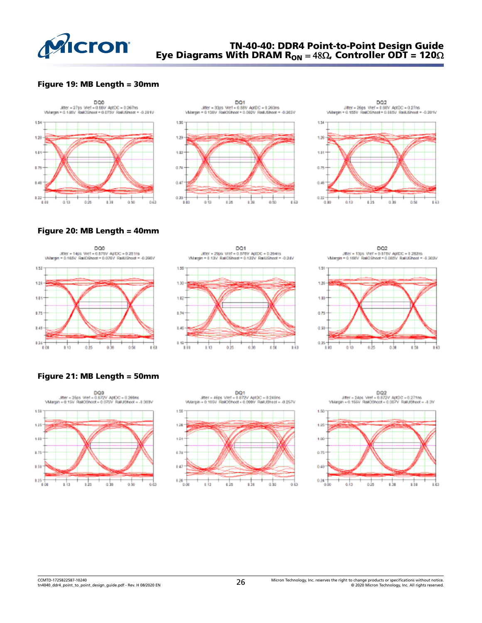

# TN-40-40: DDR4 Point-to-Point Design Guide Eye Diagrams With DRAM R<sub>ON</sub> = 48 $\Omega$ , Controller ODT = 120 $\Omega$

#### Figure 19: MB Length = 30mm







Figure 20: MB Length = 40mm











## Figure 21: MB Length = 50mm







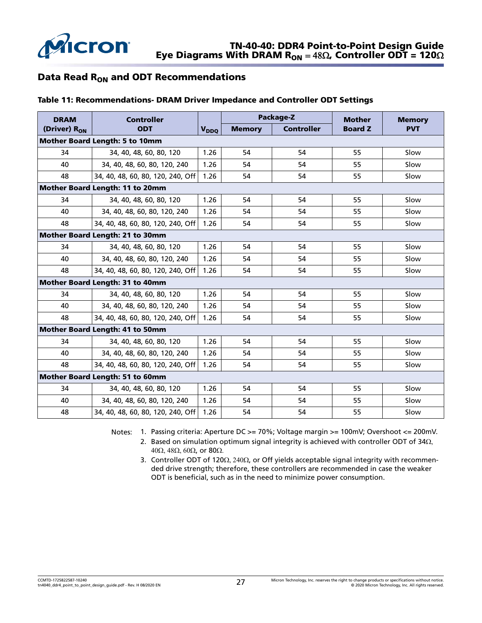

# Data Read R<sub>ON</sub> and ODT Recommendations

#### Table 11: Recommendations- DRAM Driver Impedance and Controller ODT Settings

| <b>DRAM</b>                            | <b>Controller</b>                      |                        |               | Package-Z         | <b>Mother</b>  | <b>Memory</b> |  |  |  |  |
|----------------------------------------|----------------------------------------|------------------------|---------------|-------------------|----------------|---------------|--|--|--|--|
| (Driver) R <sub>ON</sub><br><b>ODT</b> |                                        | <b>V<sub>DDO</sub></b> | <b>Memory</b> | <b>Controller</b> | <b>Board Z</b> | <b>PVT</b>    |  |  |  |  |
| <b>Mother Board Length: 5 to 10mm</b>  |                                        |                        |               |                   |                |               |  |  |  |  |
| 34                                     | 34, 40, 48, 60, 80, 120                | 1.26                   | 54            | 54                | 55             | Slow          |  |  |  |  |
| 40                                     | 34, 40, 48, 60, 80, 120, 240           | 1.26                   | 54            | 54                | 55             | Slow          |  |  |  |  |
| 48                                     | 34, 40, 48, 60, 80, 120, 240, Off      | 1.26                   | 54            | 54                | 55             | Slow          |  |  |  |  |
|                                        | <b>Mother Board Length: 11 to 20mm</b> |                        |               |                   |                |               |  |  |  |  |
| 34                                     | 34, 40, 48, 60, 80, 120                | 1.26                   | 54            | 54                | 55             | Slow          |  |  |  |  |
| 40                                     | 34, 40, 48, 60, 80, 120, 240           | 1.26                   | 54            | 54                | 55             | Slow          |  |  |  |  |
| 48                                     | 34, 40, 48, 60, 80, 120, 240, Off      | 1.26                   | 54            | 54                | 55             | Slow          |  |  |  |  |
| Mother Board Length: 21 to 30mm        |                                        |                        |               |                   |                |               |  |  |  |  |
| 34                                     | 34, 40, 48, 60, 80, 120                | 1.26                   | 54            | 54                | 55             | Slow          |  |  |  |  |
| 40                                     | 34, 40, 48, 60, 80, 120, 240           | 1.26                   | 54            | 54                | 55             | Slow          |  |  |  |  |
| 48                                     | 34, 40, 48, 60, 80, 120, 240, Off      | 1.26                   | 54            | 54                | 55             | Slow          |  |  |  |  |
| Mother Board Length: 31 to 40mm        |                                        |                        |               |                   |                |               |  |  |  |  |
| 34                                     | 34, 40, 48, 60, 80, 120                | 1.26                   | 54            | 54                | 55             | Slow          |  |  |  |  |
| 40                                     | 34, 40, 48, 60, 80, 120, 240           | 1.26                   | 54            | 54                | 55             | Slow          |  |  |  |  |
| 48                                     | 34, 40, 48, 60, 80, 120, 240, Off      | 1.26                   | 54            | 54                | 55             | Slow          |  |  |  |  |
| <b>Mother Board Length: 41 to 50mm</b> |                                        |                        |               |                   |                |               |  |  |  |  |
| 34                                     | 34, 40, 48, 60, 80, 120                | 1.26                   | 54            | 54                | 55             | Slow          |  |  |  |  |
| 40                                     | 34, 40, 48, 60, 80, 120, 240           | 1.26                   | 54            | 54                | 55             | Slow          |  |  |  |  |
| 48                                     | 34, 40, 48, 60, 80, 120, 240, Off      | 1.26                   | 54            | 54                | 55             | Slow          |  |  |  |  |
| Mother Board Length: 51 to 60mm        |                                        |                        |               |                   |                |               |  |  |  |  |
| 34                                     | 34, 40, 48, 60, 80, 120                | 1.26                   | 54            | 54                | 55             | Slow          |  |  |  |  |
| 40                                     | 34, 40, 48, 60, 80, 120, 240           | 1.26                   | 54            | 54                | 55             | Slow          |  |  |  |  |
| 48                                     | 34, 40, 48, 60, 80, 120, 240, Off      | 1.26                   | 54            | 54                | 55             | Slow          |  |  |  |  |

Notes: 1. Passing criteria: Aperture DC >= 70%; Voltage margin >= 100mV; Overshoot <= 200mV.

2. Based on simulation optimum signal integrity is achieved with controller ODT of 34Ω, 40Ω, 48Ω, 60Ω, or 80Ω.

3. Controller ODT of 120Ω, 240Ω, or Off yields acceptable signal integrity with recommended drive strength; therefore, these controllers are recommended in case the weaker ODT is beneficial, such as in the need to minimize power consumption.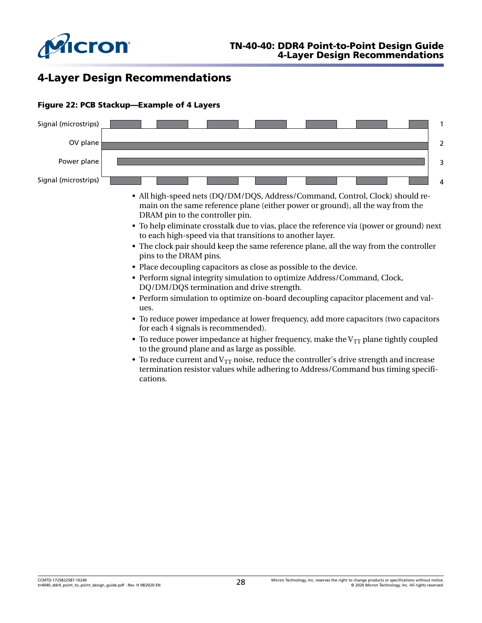

# 4-Layer Design Recommendations



#### Figure 22: PCB Stackup—Example of 4 Layers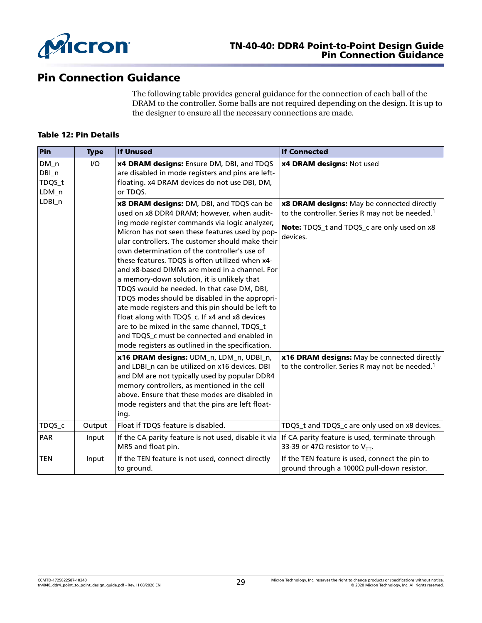

# Pin Connection Guidance

The following table provides general guidance for the connection of each ball of the DRAM to the controller. Some balls are not required depending on the design. It is up to the designer to ensure all the necessary connections are made.

#### Table 12: Pin Details

| Pin                                | <b>Type</b> | <b>If Unused</b>                                                                                                                                                                                                                                                                                                                                                                                                                                                                                                                                                                                                                                                                                                                                                                                                                                                                                                                                            | <b>If Connected</b>                                                                                                                                                                                                                                                                |  |  |  |
|------------------------------------|-------------|-------------------------------------------------------------------------------------------------------------------------------------------------------------------------------------------------------------------------------------------------------------------------------------------------------------------------------------------------------------------------------------------------------------------------------------------------------------------------------------------------------------------------------------------------------------------------------------------------------------------------------------------------------------------------------------------------------------------------------------------------------------------------------------------------------------------------------------------------------------------------------------------------------------------------------------------------------------|------------------------------------------------------------------------------------------------------------------------------------------------------------------------------------------------------------------------------------------------------------------------------------|--|--|--|
| $DM_n$<br>DBI_n<br>TDQS_t<br>LDM_n | $UO$        | x4 DRAM designs: Ensure DM, DBI, and TDQS<br>are disabled in mode registers and pins are left-<br>floating. x4 DRAM devices do not use DBI, DM,<br>or TDQS.                                                                                                                                                                                                                                                                                                                                                                                                                                                                                                                                                                                                                                                                                                                                                                                                 | x4 DRAM designs: Not used                                                                                                                                                                                                                                                          |  |  |  |
| LDBI_n                             |             | x8 DRAM designs: DM, DBI, and TDQS can be<br>used on x8 DDR4 DRAM; however, when audit-<br>ing mode register commands via logic analyzer,<br>Micron has not seen these features used by pop-<br>ular controllers. The customer should make their<br>own determination of the controller's use of<br>these features. TDQS is often utilized when x4-<br>and x8-based DIMMs are mixed in a channel. For<br>a memory-down solution, it is unlikely that<br>TDQS would be needed. In that case DM, DBI,<br>TDQS modes should be disabled in the appropri-<br>ate mode registers and this pin should be left to<br>float along with TDQS_c. If x4 and x8 devices<br>are to be mixed in the same channel, TDQS_t<br>and TDQS_c must be connected and enabled in<br>mode registers as outlined in the specification.<br>x16 DRAM designs: UDM_n, LDM_n, UDBI_n,<br>and LDBI n can be utilized on x16 devices. DBI<br>and DM are not typically used by popular DDR4 | x8 DRAM designs: May be connected directly<br>to the controller. Series R may not be needed. <sup>1</sup><br>Note: TDQS_t and TDQS_c are only used on x8<br>devices.<br>x16 DRAM designs: May be connected directly<br>to the controller. Series R may not be needed. <sup>1</sup> |  |  |  |
|                                    |             | memory controllers, as mentioned in the cell<br>above. Ensure that these modes are disabled in<br>mode registers and that the pins are left float-<br>ing.                                                                                                                                                                                                                                                                                                                                                                                                                                                                                                                                                                                                                                                                                                                                                                                                  |                                                                                                                                                                                                                                                                                    |  |  |  |
| TDQS_c                             | Output      | Float if TDQS feature is disabled.                                                                                                                                                                                                                                                                                                                                                                                                                                                                                                                                                                                                                                                                                                                                                                                                                                                                                                                          | TDQS_t and TDQS_c are only used on x8 devices.                                                                                                                                                                                                                                     |  |  |  |
| PAR                                | Input       | If the CA parity feature is not used, disable it via<br>MR5 and float pin.                                                                                                                                                                                                                                                                                                                                                                                                                                                                                                                                                                                                                                                                                                                                                                                                                                                                                  | If CA parity feature is used, terminate through<br>33-39 or 47 $\Omega$ resistor to V <sub>TT</sub> .                                                                                                                                                                              |  |  |  |
| <b>TEN</b>                         | Input       | If the TEN feature is not used, connect directly<br>to ground.                                                                                                                                                                                                                                                                                                                                                                                                                                                                                                                                                                                                                                                                                                                                                                                                                                                                                              | If the TEN feature is used, connect the pin to<br>ground through a $1000Ω$ pull-down resistor.                                                                                                                                                                                     |  |  |  |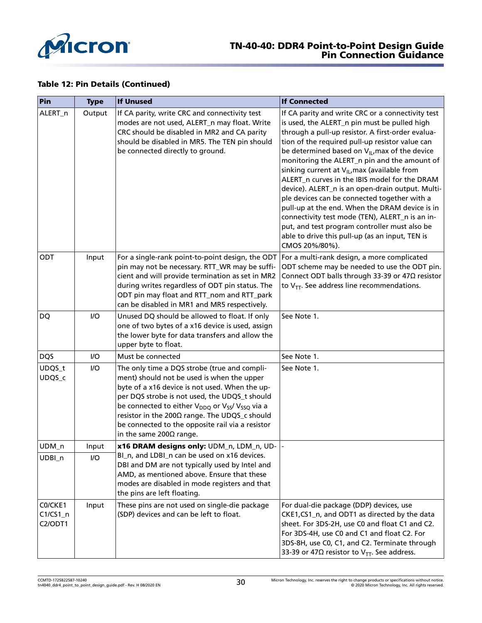

#### Table 12: Pin Details (Continued)

| Pin                              | <b>Type</b> | <b>If Unused</b>                                                                                                                                                                                                                                                                                                                                                                                                             | <b>If Connected</b>                                                                                                                                                                                                                                                                                                                                                                                                                                                                                                                                                                                                                                                                                                                                                 |  |  |  |  |
|----------------------------------|-------------|------------------------------------------------------------------------------------------------------------------------------------------------------------------------------------------------------------------------------------------------------------------------------------------------------------------------------------------------------------------------------------------------------------------------------|---------------------------------------------------------------------------------------------------------------------------------------------------------------------------------------------------------------------------------------------------------------------------------------------------------------------------------------------------------------------------------------------------------------------------------------------------------------------------------------------------------------------------------------------------------------------------------------------------------------------------------------------------------------------------------------------------------------------------------------------------------------------|--|--|--|--|
| ALERT_n                          | Output      | If CA parity, write CRC and connectivity test<br>modes are not used, ALERT_n may float. Write<br>CRC should be disabled in MR2 and CA parity<br>should be disabled in MR5. The TEN pin should<br>be connected directly to ground.                                                                                                                                                                                            | If CA parity and write CRC or a connectivity test<br>is used, the ALERT_n pin must be pulled high<br>through a pull-up resistor. A first-order evalua-<br>tion of the required pull-up resistor value can<br>be determined based on $V_{\parallel L}$ max of the device<br>monitoring the ALERT_n pin and the amount of<br>sinking current at $V_{\parallel L}$ max (available from<br>ALERT_n curves in the IBIS model for the DRAM<br>device). ALERT_n is an open-drain output. Multi-<br>ple devices can be connected together with a<br>pull-up at the end. When the DRAM device is in<br>connectivity test mode (TEN), ALERT_n is an in-<br>put, and test program controller must also be<br>able to drive this pull-up (as an input, TEN is<br>CMOS 20%/80%). |  |  |  |  |
| ODT                              | Input       | For a single-rank point-to-point design, the ODT<br>pin may not be necessary. RTT_WR may be suffi-<br>cient and will provide termination as set in MR2<br>during writes regardless of ODT pin status. The<br>ODT pin may float and RTT_nom and RTT_park<br>can be disabled in MR1 and MR5 respectively.                                                                                                                      | For a multi-rank design, a more complicated<br>ODT scheme may be needed to use the ODT pin.<br>Connect ODT balls through 33-39 or 47Ω resistor<br>to $V_{TT}$ . See address line recommendations.                                                                                                                                                                                                                                                                                                                                                                                                                                                                                                                                                                   |  |  |  |  |
| DQ                               | $UO$        | Unused DQ should be allowed to float. If only<br>one of two bytes of a x16 device is used, assign<br>the lower byte for data transfers and allow the<br>upper byte to float.                                                                                                                                                                                                                                                 | See Note 1.                                                                                                                                                                                                                                                                                                                                                                                                                                                                                                                                                                                                                                                                                                                                                         |  |  |  |  |
| <b>DQS</b>                       | I/O         | Must be connected                                                                                                                                                                                                                                                                                                                                                                                                            | See Note 1.                                                                                                                                                                                                                                                                                                                                                                                                                                                                                                                                                                                                                                                                                                                                                         |  |  |  |  |
| UDQS_t<br>UDQS_c                 | $UO$        | The only time a DQS strobe (true and compli-<br>ment) should not be used is when the upper<br>byte of a x16 device is not used. When the up-<br>per DQS strobe is not used, the UDQS_t should<br>be connected to either V <sub>DDQ</sub> or V <sub>SS</sub> / V <sub>SSQ</sub> via a<br>resistor in the 200Ω range. The UDQS_c should<br>be connected to the opposite rail via a resistor<br>in the same 200 $\Omega$ range. | See Note 1.                                                                                                                                                                                                                                                                                                                                                                                                                                                                                                                                                                                                                                                                                                                                                         |  |  |  |  |
| UDM_n                            | Input       | x16 DRAM designs only: UDM_n, LDM_n, UD-  -                                                                                                                                                                                                                                                                                                                                                                                  |                                                                                                                                                                                                                                                                                                                                                                                                                                                                                                                                                                                                                                                                                                                                                                     |  |  |  |  |
| UDBI_n                           | $UO$        | BI_n, and LDBI_n can be used on x16 devices.<br>DBI and DM are not typically used by Intel and<br>AMD, as mentioned above. Ensure that these<br>modes are disabled in mode registers and that<br>the pins are left floating.                                                                                                                                                                                                 |                                                                                                                                                                                                                                                                                                                                                                                                                                                                                                                                                                                                                                                                                                                                                                     |  |  |  |  |
| C0/CKE1<br>$C1/CS1_n$<br>C2/ODT1 | Input       | These pins are not used on single-die package<br>(SDP) devices and can be left to float.                                                                                                                                                                                                                                                                                                                                     | For dual-die package (DDP) devices, use<br>CKE1, CS1_n, and ODT1 as directed by the data<br>sheet. For 3DS-2H, use C0 and float C1 and C2.<br>For 3DS-4H, use C0 and C1 and float C2. For<br>3DS-8H, use C0, C1, and C2. Terminate through<br>33-39 or 47 $\Omega$ resistor to V <sub>TT</sub> . See address.                                                                                                                                                                                                                                                                                                                                                                                                                                                       |  |  |  |  |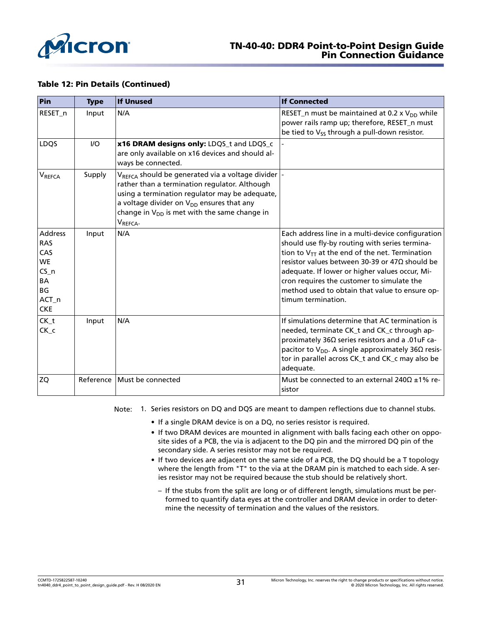

#### Table 12: Pin Details (Continued)

| Pin                                                                                           | <b>Type</b> | <b>If Unused</b>                                                                                                                                                                                                                                                                                  | <b>If Connected</b>                                                                                                                                                                                                                                                                                                                                                                          |
|-----------------------------------------------------------------------------------------------|-------------|---------------------------------------------------------------------------------------------------------------------------------------------------------------------------------------------------------------------------------------------------------------------------------------------------|----------------------------------------------------------------------------------------------------------------------------------------------------------------------------------------------------------------------------------------------------------------------------------------------------------------------------------------------------------------------------------------------|
| RESET_n                                                                                       | Input       | N/A                                                                                                                                                                                                                                                                                               | RESET_n must be maintained at 0.2 x $V_{DD}$ while<br>power rails ramp up; therefore, RESET_n must<br>be tied to V <sub>SS</sub> through a pull-down resistor.                                                                                                                                                                                                                               |
| LDQS                                                                                          | $UO$        | x16 DRAM designs only: LDQS_t and LDQS_c<br>are only available on x16 devices and should al-<br>ways be connected.                                                                                                                                                                                |                                                                                                                                                                                                                                                                                                                                                                                              |
| VREFCA                                                                                        | Supply      | $V_{REFCA}$ should be generated via a voltage divider  -<br>rather than a termination regulator. Although<br>using a termination regulator may be adequate,<br>a voltage divider on $V_{DD}$ ensures that any<br>change in V <sub>DD</sub> is met with the same change in<br>V <sub>REFCA</sub> . |                                                                                                                                                                                                                                                                                                                                                                                              |
| <b>Address</b><br><b>RAS</b><br>CAS<br><b>WE</b><br>$CS_n$<br>BA<br>BG<br>ACT_n<br><b>CKE</b> | Input       | N/A                                                                                                                                                                                                                                                                                               | Each address line in a multi-device configuration<br>should use fly-by routing with series termina-<br>tion to $V_{TT}$ at the end of the net. Termination<br>resistor values between 30-39 or 47 $\Omega$ should be<br>adequate. If lower or higher values occur, Mi-<br>cron requires the customer to simulate the<br>method used to obtain that value to ensure op-<br>timum termination. |
| CK_t<br>$CK_c$                                                                                | Input       | N/A                                                                                                                                                                                                                                                                                               | If simulations determine that AC termination is<br>needed, terminate CK_t and CK_c through ap-<br>proximately 36Ω series resistors and a .01uF ca-<br>pacitor to $V_{DD}$ . A single approximately 36 $\Omega$ resis-<br>tor in parallel across CK_t and CK_c may also be<br>adequate.                                                                                                       |
| <b>ZQ</b>                                                                                     | Reference   | Must be connected                                                                                                                                                                                                                                                                                 | Must be connected to an external 240 $\Omega$ ±1% re-<br>sistor                                                                                                                                                                                                                                                                                                                              |

- Note: 1. Series resistors on DQ and DQS are meant to dampen reflections due to channel stubs.
	- If a single DRAM device is on a DQ, no series resistor is required.
	- If two DRAM devices are mounted in alignment with balls facing each other on opposite sides of a PCB, the via is adjacent to the DQ pin and the mirrored DQ pin of the secondary side. A series resistor may not be required.
	- If two devices are adjacent on the same side of a PCB, the DQ should be a T topology where the length from "T" to the via at the DRAM pin is matched to each side. A series resistor may not be required because the stub should be relatively short.
		- If the stubs from the split are long or of different length, simulations must be performed to quantify data eyes at the controller and DRAM device in order to determine the necessity of termination and the values of the resistors.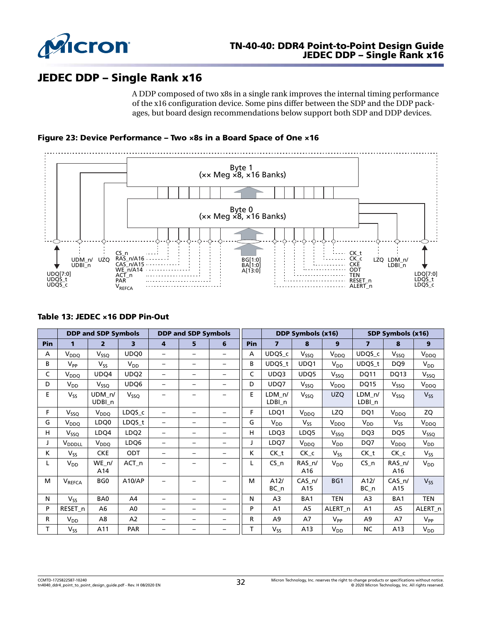

# JEDEC DDP – Single Rank x16

A DDP composed of two x8s in a single rank improves the internal timing performance of the x16 configuration device. Some pins differ between the SDP and the DDP packages, but board design recommendations below support both SDP and DDP devices.

Figure 23: Device Performance – Two ×8s in a Board Space of One ×16



#### Table 13: JEDEC ×16 DDP Pin-Out

|     | <b>DDP and SDP Symbols</b> |                             |                         |                          | <b>DDP and SDP Symbols</b> |                          |            | DDP Symbols (x16) |                       |                    | SDP Symbols (x16)       |                  |                    |
|-----|----------------------------|-----------------------------|-------------------------|--------------------------|----------------------------|--------------------------|------------|-------------------|-----------------------|--------------------|-------------------------|------------------|--------------------|
| Pin | 1                          | $\overline{2}$              | $\overline{\mathbf{3}}$ | 4                        | 5                          | 6                        | <b>Pin</b> | $\overline{ }$    | 8                     | 9                  | $\overline{\mathbf{z}}$ | 8                | 9                  |
| Α   | $V_{DDQ}$                  | V <sub>SSQ</sub>            | UDQ0                    |                          |                            | -                        | А          | UDQS_c            | $V_{SSQ}$             | V <sub>DDQ</sub>   | UDQS_c                  | V <sub>SSQ</sub> | V <sub>DDQ</sub>   |
| В   | $V_{\mathsf{PP}}$          | V <sub>SS</sub>             | V <sub>DD</sub>         | -                        | $\overline{\phantom{0}}$   | -                        | B          | UDQS_t            | UDQ1                  | $V_{DD}$           | UDQS_t                  | DQ <sub>9</sub>  | $V_{DD}$           |
| C   | $V_{DDQ}$                  | UDQ4                        | UDQ <sub>2</sub>        | $\overline{\phantom{0}}$ | $\qquad \qquad -$          | $\overline{\phantom{0}}$ | C          | UDQ3              | UDQ5                  | $V_{SSQ}$          | <b>DQ11</b>             | DQ13             | V <sub>SSQ</sub>   |
| D   | $V_{DD}$                   | V <sub>SSQ</sub>            | UDQ6                    | $\overline{\phantom{0}}$ | $\overline{\phantom{0}}$   | $\overline{\phantom{0}}$ | D          | UDQ7              | V <sub>SSQ</sub>      | V <sub>DDQ</sub>   | <b>DQ15</b>             | V <sub>SSQ</sub> | V <sub>DDQ</sub>   |
| E   | $V_{SS}$                   | UDM n/<br>UDBI <sub>n</sub> | V <sub>SSQ</sub>        |                          |                            |                          | E          | LDM n/<br>LDBI_n  | $V_{SSQ}$             | <b>UZQ</b>         | LDM n/<br>LDBI_n        | $V_{SSQ}$        | $V_{SS}$           |
| F.  | V <sub>SSO</sub>           | $V_{DDQ}$                   | LDQS_c                  |                          | $\overline{\phantom{0}}$   | -                        | F          | LDQ1              | V <sub>DDQ</sub>      | LZQ                | DQ1                     | V <sub>DDQ</sub> | ZQ                 |
| G   | $V_{DDQ}$                  | LDQ0                        | LDQS_t                  | -                        | $\overline{\phantom{0}}$   | -                        | G          | $V_{DD}$          | <b>V<sub>SS</sub></b> | V <sub>DDQ</sub>   | V <sub>DD</sub>         | $V_{SS}$         | V <sub>DDQ</sub>   |
| H.  | $V_{SSQ}$                  | LDQ4                        | LDQ <sub>2</sub>        | $\overline{\phantom{0}}$ | $\qquad \qquad -$          | -                        | H          | LDQ3              | LDQ5                  | $V_{SSQ}$          | DQ3                     | DQ <sub>5</sub>  | $V_{SSQ}$          |
| J   | <b>V</b> <sub>DDDLL</sub>  | $V_{DDQ}$                   | LDQ6                    | $\overline{\phantom{0}}$ | $\overline{\phantom{0}}$   | $\overline{\phantom{0}}$ | J          | LDQ7              | V <sub>DDQ</sub>      | $V_{DD}$           | DQ7                     | V <sub>DDQ</sub> | $V_{DD}$           |
| K.  | $V_{SS}$                   | <b>CKE</b>                  | <b>ODT</b>              | -                        |                            | -                        | K.         | $CK_t$            | $CK_c$                | $V_{SS}$           | $CK_t$                  | $CK_{c}$         | $V_{SS}$           |
| L   | $V_{DD}$                   | WE n/<br>A14                | $ACT_n$                 |                          |                            | -                        | L          | $CS_n$            | RAS_n/<br>A16         | $V_{DD}$           | $CS_n$                  | RAS n/<br>A16    | $V_{DD}$           |
| M   | <b>VREFCA</b>              | BG <sub>0</sub>             | A10/AP                  |                          |                            | -                        | м          | A12/<br>$BC_n$    | $CAS_n/$<br>A15       | BG1                | A12/<br>BC_n            | $CAS_n/$<br>A15  | $V_{SS}$           |
| N   | $V_{SS}$                   | BA0                         | A4                      | -                        | $\overline{\phantom{0}}$   | -                        | N          | A3                | BA1                   | <b>TEN</b>         | A3                      | BA <sub>1</sub>  | <b>TEN</b>         |
| P   | RESET <sub>n</sub>         | A6                          | A <sub>0</sub>          |                          | $\overline{\phantom{0}}$   | $\overline{\phantom{0}}$ | P          | A <sub>1</sub>    | A5                    | ALERT <sub>n</sub> | A <sub>1</sub>          | A5               | ALERT <sub>n</sub> |
| R.  | $V_{DD}$                   | A8                          | A <sub>2</sub>          | $\qquad \qquad -$        | -                          | $\overline{\phantom{0}}$ | R          | A9                | A7                    | $V_{PP}$           | A <sub>9</sub>          | A7               | $V_{PP}$           |
| т   | $V_{SS}$                   | A11                         | <b>PAR</b>              |                          |                            | -                        | T          | V <sub>SS</sub>   | A13                   | $V_{DD}$           | NC                      | A13              | $V_{DD}$           |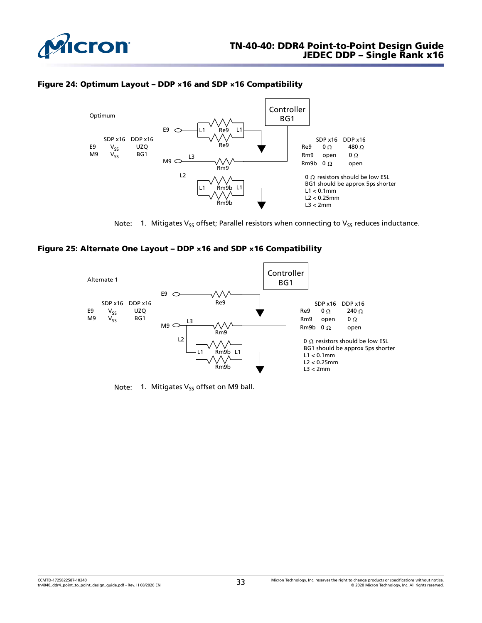

#### Figure 24: Optimum Layout – DDP ×16 and SDP ×16 Compatibility





#### Figure 25: Alternate One Layout – DDP ×16 and SDP ×16 Compatibility



Note: 1. Mitigates  $V_{SS}$  offset on M9 ball.